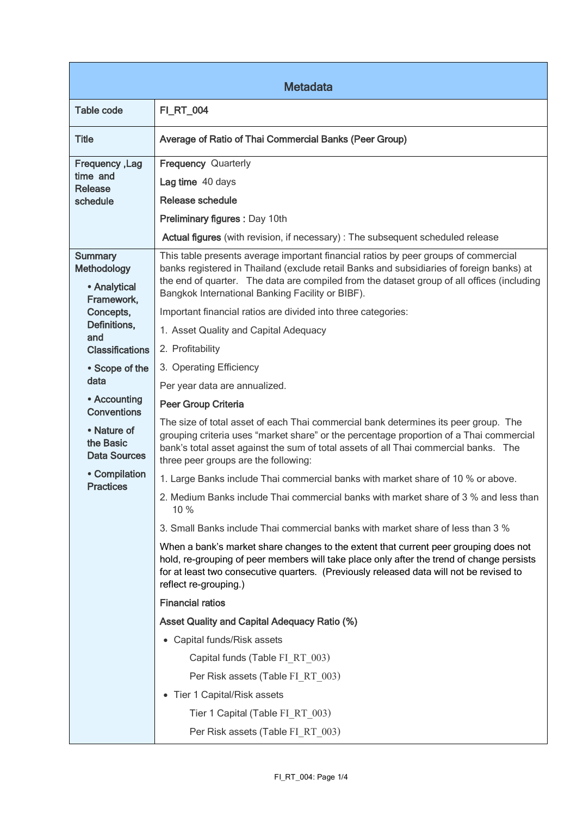| <b>Metadata</b>                                                       |                                                                                                                                                                                                                                                                                                                |  |
|-----------------------------------------------------------------------|----------------------------------------------------------------------------------------------------------------------------------------------------------------------------------------------------------------------------------------------------------------------------------------------------------------|--|
| <b>Table code</b>                                                     | <b>FI_RT_004</b>                                                                                                                                                                                                                                                                                               |  |
| <b>Title</b>                                                          | Average of Ratio of Thai Commercial Banks (Peer Group)                                                                                                                                                                                                                                                         |  |
| Frequency, Lag<br>time and<br>Release                                 | <b>Frequency Quarterly</b><br>Lag time 40 days<br>Release schedule                                                                                                                                                                                                                                             |  |
| schedule                                                              | Preliminary figures : Day 10th                                                                                                                                                                                                                                                                                 |  |
|                                                                       | Actual figures (with revision, if necessary) : The subsequent scheduled release                                                                                                                                                                                                                                |  |
| <b>Summary</b><br><b>Methodology</b><br>• Analytical                  | This table presents average important financial ratios by peer groups of commercial<br>banks registered in Thailand (exclude retail Banks and subsidiaries of foreign banks) at<br>the end of quarter. The data are compiled from the dataset group of all offices (including                                  |  |
| Framework,                                                            | Bangkok International Banking Facility or BIBF).                                                                                                                                                                                                                                                               |  |
| Concepts,<br>Definitions,                                             | Important financial ratios are divided into three categories:                                                                                                                                                                                                                                                  |  |
| and<br><b>Classifications</b>                                         | 1. Asset Quality and Capital Adequacy<br>2. Profitability                                                                                                                                                                                                                                                      |  |
| • Scope of the                                                        | 3. Operating Efficiency                                                                                                                                                                                                                                                                                        |  |
| data                                                                  | Per year data are annualized.                                                                                                                                                                                                                                                                                  |  |
| • Accounting                                                          | Peer Group Criteria                                                                                                                                                                                                                                                                                            |  |
| <b>Conventions</b><br>• Nature of<br>the Basic<br><b>Data Sources</b> | The size of total asset of each Thai commercial bank determines its peer group. The<br>grouping criteria uses "market share" or the percentage proportion of a Thai commercial<br>bank's total asset against the sum of total assets of all Thai commercial banks. The<br>three peer groups are the following: |  |
| • Compilation                                                         | 1. Large Banks include Thai commercial banks with market share of 10 % or above.                                                                                                                                                                                                                               |  |
| <b>Practices</b>                                                      | 2. Medium Banks include Thai commercial banks with market share of 3 % and less than<br>10%                                                                                                                                                                                                                    |  |
|                                                                       | 3. Small Banks include Thai commercial banks with market share of less than 3 %                                                                                                                                                                                                                                |  |
|                                                                       | When a bank's market share changes to the extent that current peer grouping does not<br>hold, re-grouping of peer members will take place only after the trend of change persists<br>for at least two consecutive quarters. (Previously released data will not be revised to<br>reflect re-grouping.)          |  |
|                                                                       | <b>Financial ratios</b>                                                                                                                                                                                                                                                                                        |  |
|                                                                       | <b>Asset Quality and Capital Adequacy Ratio (%)</b>                                                                                                                                                                                                                                                            |  |
|                                                                       | • Capital funds/Risk assets                                                                                                                                                                                                                                                                                    |  |
|                                                                       | Capital funds (Table FI RT 003)                                                                                                                                                                                                                                                                                |  |
|                                                                       | Per Risk assets (Table FI RT 003)                                                                                                                                                                                                                                                                              |  |
|                                                                       | • Tier 1 Capital/Risk assets                                                                                                                                                                                                                                                                                   |  |
|                                                                       | Tier 1 Capital (Table FI RT 003)                                                                                                                                                                                                                                                                               |  |
|                                                                       | Per Risk assets (Table FI RT 003)                                                                                                                                                                                                                                                                              |  |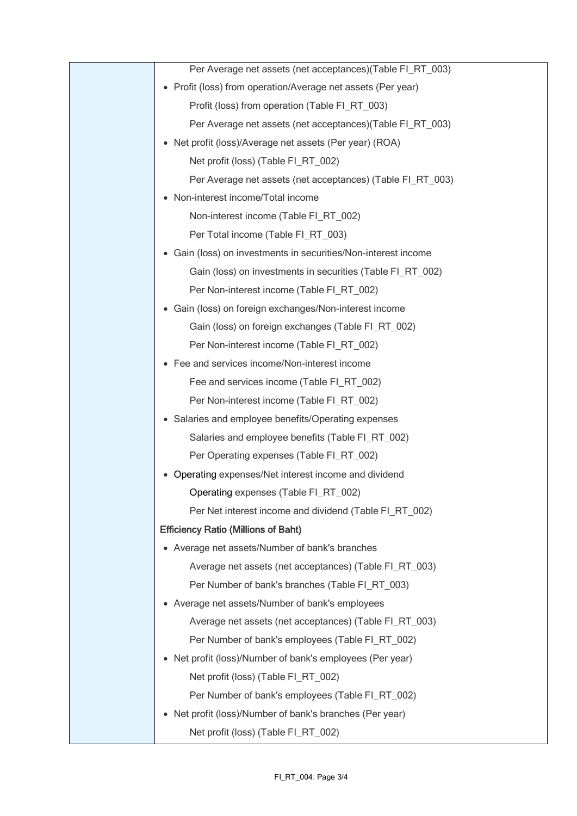| Per Average net assets (net acceptances) (Table FI_RT_003)   |
|--------------------------------------------------------------|
| • Profit (loss) from operation/Average net assets (Per year) |
| Profit (loss) from operation (Table FI_RT_003)               |
| Per Average net assets (net acceptances)(Table FI_RT_003)    |
| Net profit (loss)/Average net assets (Per year) (ROA)        |
| Net profit (loss) (Table FI_RT_002)                          |
| Per Average net assets (net acceptances) (Table FI_RT_003)   |
| Non-interest income/Total income<br>$\bullet$                |
| Non-interest income (Table FI_RT_002)                        |
| Per Total income (Table FI_RT_003)                           |
| Gain (loss) on investments in securities/Non-interest income |
| Gain (loss) on investments in securities (Table FI_RT_002)   |
| Per Non-interest income (Table FI RT 002)                    |
| Gain (loss) on foreign exchanges/Non-interest income         |
| Gain (loss) on foreign exchanges (Table FI_RT_002)           |
| Per Non-interest income (Table FI_RT_002)                    |
| Fee and services income/Non-interest income                  |
| Fee and services income (Table FI_RT_002)                    |
| Per Non-interest income (Table FI_RT_002)                    |
| Salaries and employee benefits/Operating expenses<br>٠       |
| Salaries and employee benefits (Table FI_RT_002)             |
| Per Operating expenses (Table FI_RT_002)                     |
| Operating expenses/Net interest income and dividend          |
| Operating expenses (Table FI_RT_002)                         |
| Per Net interest income and dividend (Table FI RT 002)       |
| <b>Efficiency Ratio (Millions of Baht)</b>                   |
| • Average net assets/Number of bank's branches               |
| Average net assets (net acceptances) (Table FI_RT_003)       |
| Per Number of bank's branches (Table FI_RT_003)              |
| Average net assets/Number of bank's employees<br>$\bullet$   |
| Average net assets (net acceptances) (Table FI_RT_003)       |
| Per Number of bank's employees (Table FI_RT_002)             |
| • Net profit (loss)/Number of bank's employees (Per year)    |
| Net profit (loss) (Table FI_RT_002)                          |
| Per Number of bank's employees (Table FI_RT_002)             |
| • Net profit (loss)/Number of bank's branches (Per year)     |
| Net profit (loss) (Table FI_RT_002)                          |
|                                                              |